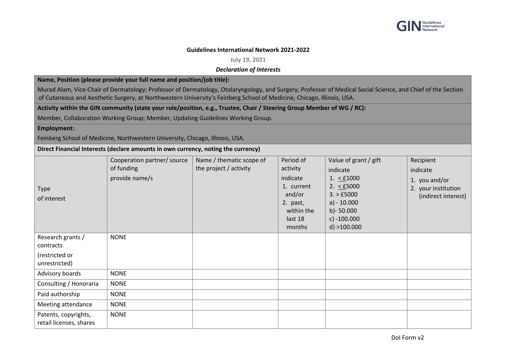

## **Guidelines International Network 2021-2022**

**July 19, 2021**

## *Declaration of Interests*

**Name, Position (please provide your full name and position/job title):** 

Murad Alam, Vice-Chair of Dermatology; Professor of Dermatology, Otolaryngology, and Surgery; Professor of Medical Social Science, and Chief of the Section of Cutaneous and Aesthetic Surgery, at Northwestern University's Feinberg School of Medicine, Chicago, Illinois, USA.

**Activity within the GIN community (state your role/position, e.g., Trustee, Chair / Steering Group Member of WG / RC):** 

Member, Collaboration Working Group; Member, Updating Guidelines Working Group.

## **Employment:**

Feinberg School of Medicine, Northwestern University, Chicago, Illinois, USA.

**Direct Financial Interests (declare amounts in own currency, noting the currency)**

| Type<br>of interest                             | Cooperation partner/ source<br>of funding<br>provide name/s | Name / thematic scope of<br>the project / activity | Period of<br>activity<br>indicate<br>1. current<br>and/or<br>2. past,<br>within the<br>last 18<br>months | Value of grant / gift<br>indicate<br>1. $\leq$ £1000<br>2. $\leq$ £5000<br>3. > £5000<br>$a) - 10.000$<br>b) - $50.000$<br>c) $-100.000$<br>$d$ ) >100.000 | Recipient<br>indicate<br>1. you and/or<br>2. your institution<br>(indirect interest) |
|-------------------------------------------------|-------------------------------------------------------------|----------------------------------------------------|----------------------------------------------------------------------------------------------------------|------------------------------------------------------------------------------------------------------------------------------------------------------------|--------------------------------------------------------------------------------------|
| Research grants /<br>contracts                  | <b>NONE</b>                                                 |                                                    |                                                                                                          |                                                                                                                                                            |                                                                                      |
| (restricted or<br>unrestricted)                 |                                                             |                                                    |                                                                                                          |                                                                                                                                                            |                                                                                      |
| Advisory boards                                 | <b>NONE</b>                                                 |                                                    |                                                                                                          |                                                                                                                                                            |                                                                                      |
| Consulting / Honoraria                          | <b>NONE</b>                                                 |                                                    |                                                                                                          |                                                                                                                                                            |                                                                                      |
| Paid authorship                                 | <b>NONE</b>                                                 |                                                    |                                                                                                          |                                                                                                                                                            |                                                                                      |
| Meeting attendance                              | <b>NONE</b>                                                 |                                                    |                                                                                                          |                                                                                                                                                            |                                                                                      |
| Patents, copyrights,<br>retail licenses, shares | <b>NONE</b>                                                 |                                                    |                                                                                                          |                                                                                                                                                            |                                                                                      |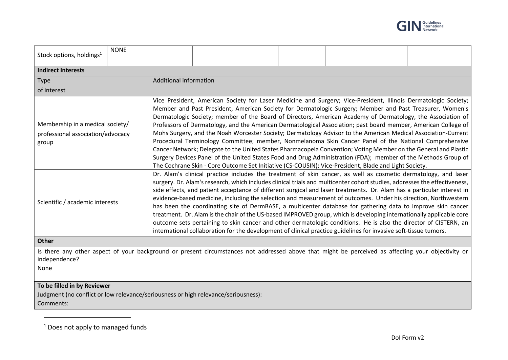

| Stock options, holdings <sup>1</sup>                                                                                                                                        | <b>NONE</b> |                                                                                                                                                                                                                                                                                                                                                                                                                                                                                                                                                                                                                                                                                                                                                                                                                                                                                                                                                                                                                                                                                                                                                       |  |  |  |  |  |  |
|-----------------------------------------------------------------------------------------------------------------------------------------------------------------------------|-------------|-------------------------------------------------------------------------------------------------------------------------------------------------------------------------------------------------------------------------------------------------------------------------------------------------------------------------------------------------------------------------------------------------------------------------------------------------------------------------------------------------------------------------------------------------------------------------------------------------------------------------------------------------------------------------------------------------------------------------------------------------------------------------------------------------------------------------------------------------------------------------------------------------------------------------------------------------------------------------------------------------------------------------------------------------------------------------------------------------------------------------------------------------------|--|--|--|--|--|--|
| <b>Indirect Interests</b>                                                                                                                                                   |             |                                                                                                                                                                                                                                                                                                                                                                                                                                                                                                                                                                                                                                                                                                                                                                                                                                                                                                                                                                                                                                                                                                                                                       |  |  |  |  |  |  |
| <b>Type</b>                                                                                                                                                                 |             | Additional information                                                                                                                                                                                                                                                                                                                                                                                                                                                                                                                                                                                                                                                                                                                                                                                                                                                                                                                                                                                                                                                                                                                                |  |  |  |  |  |  |
| of interest                                                                                                                                                                 |             |                                                                                                                                                                                                                                                                                                                                                                                                                                                                                                                                                                                                                                                                                                                                                                                                                                                                                                                                                                                                                                                                                                                                                       |  |  |  |  |  |  |
| Membership in a medical society/<br>professional association/advocacy<br>group<br>Scientific / academic interests                                                           |             | Vice President, American Society for Laser Medicine and Surgery; Vice-President, Illinois Dermatologic Society;<br>Member and Past President, American Society for Dermatologic Surgery; Member and Past Treasurer, Women's<br>Dermatologic Society; member of the Board of Directors, American Academy of Dermatology, the Association of<br>Professors of Dermatology, and the American Dermatological Association; past board member, American College of<br>Mohs Surgery, and the Noah Worcester Society; Dermatology Advisor to the American Medical Association-Current<br>Procedural Terminology Committee; member, Nonmelanoma Skin Cancer Panel of the National Comprehensive<br>Cancer Network; Delegate to the United States Pharmacopeia Convention; Voting Member on the General and Plastic<br>Surgery Devices Panel of the United States Food and Drug Administration (FDA); member of the Methods Group of<br>The Cochrane Skin - Core Outcome Set Initiative (CS-COUSIN); Vice-President, Blade and Light Society.<br>Dr. Alam's clinical practice includes the treatment of skin cancer, as well as cosmetic dermatology, and laser |  |  |  |  |  |  |
|                                                                                                                                                                             |             | surgery. Dr. Alam's research, which includes clinical trials and multicenter cohort studies, addresses the effectiveness,<br>side effects, and patient acceptance of different surgical and laser treatments. Dr. Alam has a particular interest in<br>evidence-based medicine, including the selection and measurement of outcomes. Under his direction, Northwestern<br>has been the coordinating site of DermBASE, a multicenter database for gathering data to improve skin cancer<br>treatment. Dr. Alam is the chair of the US-based IMPROVED group, which is developing internationally applicable core<br>outcome sets pertaining to skin cancer and other dermatologic conditions. He is also the director of CISTERN, an<br>international collaboration for the development of clinical practice guidelines for invasive soft-tissue tumors.                                                                                                                                                                                                                                                                                                |  |  |  |  |  |  |
| Other                                                                                                                                                                       |             |                                                                                                                                                                                                                                                                                                                                                                                                                                                                                                                                                                                                                                                                                                                                                                                                                                                                                                                                                                                                                                                                                                                                                       |  |  |  |  |  |  |
| Is there any other aspect of your background or present circumstances not addressed above that might be perceived as affecting your objectivity or<br>independence?<br>None |             |                                                                                                                                                                                                                                                                                                                                                                                                                                                                                                                                                                                                                                                                                                                                                                                                                                                                                                                                                                                                                                                                                                                                                       |  |  |  |  |  |  |
| To be filled in by Reviewer<br>Judgment (no conflict or low relevance/seriousness or high relevance/seriousness):<br>Comments:                                              |             |                                                                                                                                                                                                                                                                                                                                                                                                                                                                                                                                                                                                                                                                                                                                                                                                                                                                                                                                                                                                                                                                                                                                                       |  |  |  |  |  |  |

<sup>&</sup>lt;sup>1</sup> Does not apply to managed funds